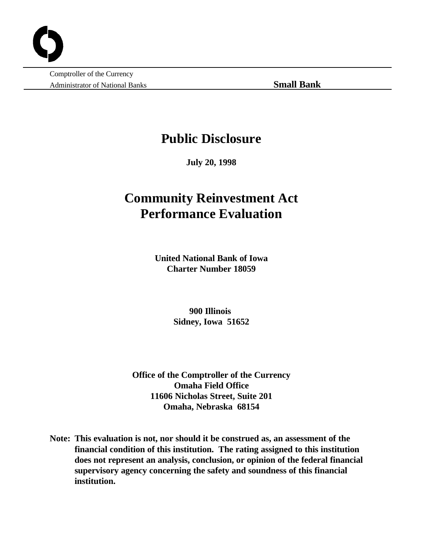Comptroller of the Currency Administrator of National Banks **Small Bank**

## **Public Disclosure**

**July 20, 1998**

# **Community Reinvestment Act Performance Evaluation**

**United National Bank of Iowa Charter Number 18059**

> **900 Illinois Sidney, Iowa 51652**

**Office of the Comptroller of the Currency Omaha Field Office 11606 Nicholas Street, Suite 201 Omaha, Nebraska 68154**

**Note: This evaluation is not, nor should it be construed as, an assessment of the financial condition of this institution. The rating assigned to this institution does not represent an analysis, conclusion, or opinion of the federal financial supervisory agency concerning the safety and soundness of this financial institution.**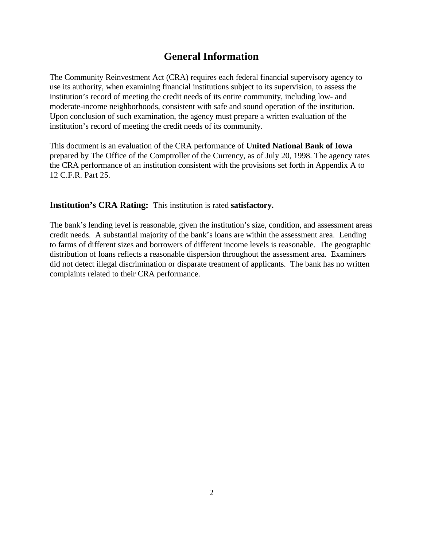### **General Information**

The Community Reinvestment Act (CRA) requires each federal financial supervisory agency to use its authority, when examining financial institutions subject to its supervision, to assess the institution's record of meeting the credit needs of its entire community, including low- and moderate-income neighborhoods, consistent with safe and sound operation of the institution. Upon conclusion of such examination, the agency must prepare a written evaluation of the institution's record of meeting the credit needs of its community.

This document is an evaluation of the CRA performance of **United National Bank of Iowa** prepared by The Office of the Comptroller of the Currency, as of July 20, 1998. The agency rates the CRA performance of an institution consistent with the provisions set forth in Appendix A to 12 C.F.R. Part 25.

**Institution's CRA Rating:** This institution is rated **satisfactory.** 

The bank's lending level is reasonable, given the institution's size, condition, and assessment areas credit needs. A substantial majority of the bank's loans are within the assessment area. Lending to farms of different sizes and borrowers of different income levels is reasonable. The geographic distribution of loans reflects a reasonable dispersion throughout the assessment area. Examiners did not detect illegal discrimination or disparate treatment of applicants. The bank has no written complaints related to their CRA performance.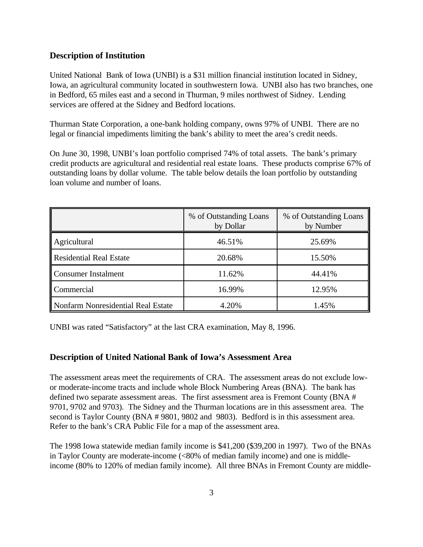#### **Description of Institution**

United National Bank of Iowa (UNBI) is a \$31 million financial institution located in Sidney, Iowa, an agricultural community located in southwestern Iowa. UNBI also has two branches, one in Bedford, 65 miles east and a second in Thurman, 9 miles northwest of Sidney. Lending services are offered at the Sidney and Bedford locations.

Thurman State Corporation, a one-bank holding company, owns 97% of UNBI. There are no legal or financial impediments limiting the bank's ability to meet the area's credit needs.

On June 30, 1998, UNBI's loan portfolio comprised 74% of total assets. The bank's primary credit products are agricultural and residential real estate loans. These products comprise 67% of outstanding loans by dollar volume. The table below details the loan portfolio by outstanding loan volume and number of loans.

|                                    | % of Outstanding Loans<br>by Dollar | % of Outstanding Loans<br>by Number |  |
|------------------------------------|-------------------------------------|-------------------------------------|--|
| Agricultural                       | 46.51%                              | 25.69%                              |  |
| Residential Real Estate            | 20.68%                              | 15.50%                              |  |
| Consumer Instalment                | 11.62%                              | 44.41%                              |  |
| <b>Commercial</b>                  | 16.99%                              | 12.95%                              |  |
| Nonfarm Nonresidential Real Estate | 4.20%                               | 1.45%                               |  |

UNBI was rated "Satisfactory" at the last CRA examination, May 8, 1996.

#### **Description of United National Bank of Iowa's Assessment Area**

The assessment areas meet the requirements of CRA. The assessment areas do not exclude lowor moderate-income tracts and include whole Block Numbering Areas (BNA). The bank has defined two separate assessment areas. The first assessment area is Fremont County (BNA # 9701, 9702 and 9703). The Sidney and the Thurman locations are in this assessment area. The second is Taylor County (BNA # 9801, 9802 and 9803). Bedford is in this assessment area. Refer to the bank's CRA Public File for a map of the assessment area.

The 1998 Iowa statewide median family income is \$41,200 (\$39,200 in 1997). Two of the BNAs in Taylor County are moderate-income (<80% of median family income) and one is middleincome (80% to 120% of median family income). All three BNAs in Fremont County are middle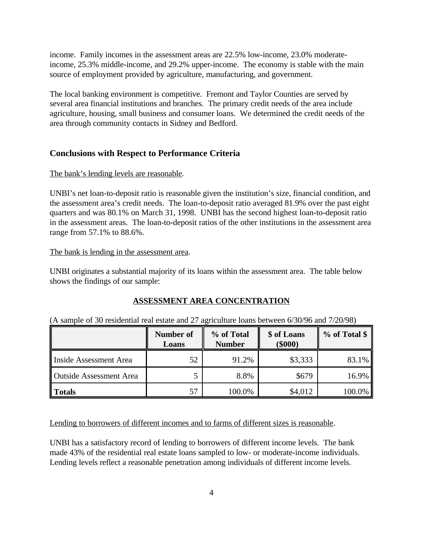income. Family incomes in the assessment areas are 22.5% low-income, 23.0% moderateincome, 25.3% middle-income, and 29.2% upper-income. The economy is stable with the main source of employment provided by agriculture, manufacturing, and government.

The local banking environment is competitive. Fremont and Taylor Counties are served by several area financial institutions and branches. The primary credit needs of the area include agriculture, housing, small business and consumer loans. We determined the credit needs of the area through community contacts in Sidney and Bedford.

#### **Conclusions with Respect to Performance Criteria**

#### The bank's lending levels are reasonable.

UNBI's net loan-to-deposit ratio is reasonable given the institution's size, financial condition, and the assessment area's credit needs. The loan-to-deposit ratio averaged 81.9% over the past eight quarters and was 80.1% on March 31, 1998. UNBI has the second highest loan-to-deposit ratio in the assessment areas. The loan-to-deposit ratios of the other institutions in the assessment area range from 57.1% to 88.6%.

#### The bank is lending in the assessment area.

UNBI originates a substantial majority of its loans within the assessment area. The table below shows the findings of our sample:

#### **ASSESSMENT AREA CONCENTRATION**

|  |  |  | (A sample of 30 residential real estate and 27 agriculture loans between 6/30/96 and 7/20/98) |  |  |  |
|--|--|--|-----------------------------------------------------------------------------------------------|--|--|--|
|  |  |  |                                                                                               |  |  |  |

|                                | <b>Number of</b><br>Loans | % of Total<br><b>Number</b> | \$ of Loans<br>$(\$000)$ | % of Total \$ |
|--------------------------------|---------------------------|-----------------------------|--------------------------|---------------|
| Inside Assessment Area         | 52                        | 91.2%                       | \$3,333                  | 83.1%         |
| <b>Outside Assessment Area</b> |                           | 8.8%                        | \$679                    | 16.9%         |
| <b>Totals</b>                  | 57                        | 100.0%                      | \$4,012                  | 100.0%        |

Lending to borrowers of different incomes and to farms of different sizes is reasonable.

UNBI has a satisfactory record of lending to borrowers of different income levels. The bank made 43% of the residential real estate loans sampled to low- or moderate-income individuals. Lending levels reflect a reasonable penetration among individuals of different income levels.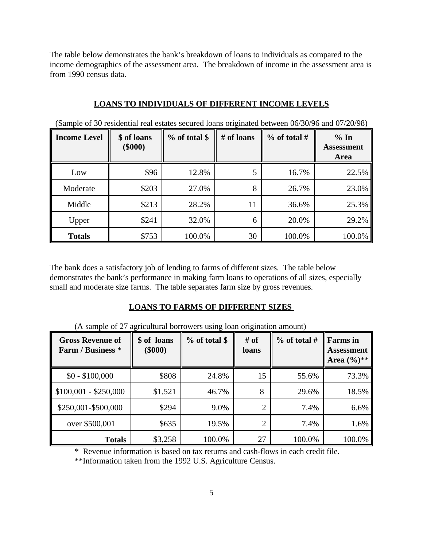The table below demonstrates the bank's breakdown of loans to individuals as compared to the income demographics of the assessment area. The breakdown of income in the assessment area is from 1990 census data.

#### **LOANS TO INDIVIDUALS OF DIFFERENT INCOME LEVELS**

| <b>Income Level</b> | \$ of loans<br>$(\$000)$ | $%$ of total \$ | # of loans | $\%$ of total # | % In<br><b>Assessment</b><br>Area |
|---------------------|--------------------------|-----------------|------------|-----------------|-----------------------------------|
| Low                 | \$96                     | 12.8%           | 5          | 16.7%           | 22.5%                             |
| Moderate            | \$203                    | 27.0%           | 8          | 26.7%           | 23.0%                             |
| Middle              | \$213                    | 28.2%           | 11         | 36.6%           | 25.3%                             |
| Upper               | \$241                    | 32.0%           | 6          | 20.0%           | 29.2%                             |
| <b>Totals</b>       | \$753                    | 100.0%          | 30         | 100.0%          | 100.0%                            |

(Sample of 30 residential real estates secured loans originated between 06/30/96 and 07/20/98)

The bank does a satisfactory job of lending to farms of different sizes. The table below demonstrates the bank's performance in making farm loans to operations of all sizes, especially small and moderate size farms. The table separates farm size by gross revenues.

#### **LOANS TO FARMS OF DIFFERENT SIZES**

| <b>Gross Revenue of</b><br>Farm / Business * | \$ of loans<br>$(\$000)$ | % of total \$<br># of<br>loans |    | $\%$ of total # | <b>Farms</b> in<br><b>Assessment</b><br>Area $(\%)^{**}$ |  |
|----------------------------------------------|--------------------------|--------------------------------|----|-----------------|----------------------------------------------------------|--|
| $$0 - $100,000$                              | \$808                    | 24.8%                          | 15 | 55.6%           | 73.3%                                                    |  |
| $$100,001 - $250,000$                        | \$1,521                  | 46.7%                          | 8  | 29.6%           | 18.5%                                                    |  |
| \$250,001-\$500,000                          | \$294                    | 9.0%                           | ◠  | 7.4%            | 6.6%                                                     |  |
| over \$500,001                               | \$635                    | 19.5%                          | ◠  | 7.4%            | 1.6%                                                     |  |
| <b>Totals</b>                                | \$3,258                  | 100.0%                         | 27 | 100.0%          | 100.0%                                                   |  |

(A sample of 27 agricultural borrowers using loan origination amount)

\* Revenue information is based on tax returns and cash-flows in each credit file.

\*\*Information taken from the 1992 U.S. Agriculture Census.